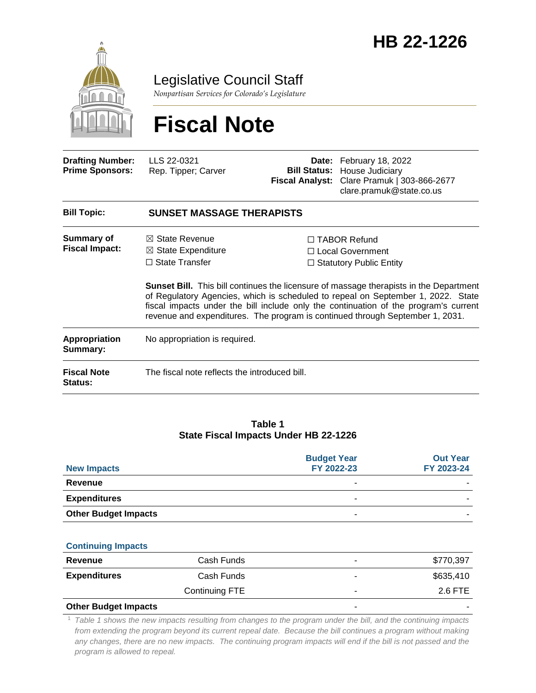

Legislative Council Staff

*Nonpartisan Services for Colorado's Legislature*

# **Fiscal Note**

| LLS 22-0321<br>Rep. Tipper; Carver                                                                                                                                                                                                                                                                                                                         |  | Date: February 18, 2022<br><b>Bill Status: House Judiciary</b><br>Fiscal Analyst: Clare Pramuk   303-866-2677<br>clare.pramuk@state.co.us |  |  |
|------------------------------------------------------------------------------------------------------------------------------------------------------------------------------------------------------------------------------------------------------------------------------------------------------------------------------------------------------------|--|-------------------------------------------------------------------------------------------------------------------------------------------|--|--|
| <b>SUNSET MASSAGE THERAPISTS</b>                                                                                                                                                                                                                                                                                                                           |  |                                                                                                                                           |  |  |
| $\boxtimes$ State Revenue<br>$\boxtimes$ State Expenditure<br>$\Box$ State Transfer                                                                                                                                                                                                                                                                        |  | $\Box$ TABOR Refund<br>□ Local Government<br>$\Box$ Statutory Public Entity                                                               |  |  |
| <b>Sunset Bill.</b> This bill continues the licensure of massage therapists in the Department<br>of Regulatory Agencies, which is scheduled to repeal on September 1, 2022. State<br>fiscal impacts under the bill include only the continuation of the program's current<br>revenue and expenditures. The program is continued through September 1, 2031. |  |                                                                                                                                           |  |  |
| No appropriation is required.                                                                                                                                                                                                                                                                                                                              |  |                                                                                                                                           |  |  |
|                                                                                                                                                                                                                                                                                                                                                            |  |                                                                                                                                           |  |  |
|                                                                                                                                                                                                                                                                                                                                                            |  | The fiscal note reflects the introduced bill.                                                                                             |  |  |

### **Table 1 State Fiscal Impacts Under HB 22-1226**

| <b>New Impacts</b>          | <b>Budget Year</b><br>FY 2022-23 | <b>Out Year</b><br>FY 2023-24 |
|-----------------------------|----------------------------------|-------------------------------|
| Revenue                     | -                                |                               |
| <b>Expenditures</b>         | -                                |                               |
| <b>Other Budget Impacts</b> | -                                |                               |

#### **Continuing Impacts**

| Revenue             | Cash Funds     | ۰ | \$770,397 |
|---------------------|----------------|---|-----------|
| <b>Expenditures</b> | Cash Funds     | ۰ | \$635,410 |
|                     | Continuing FTE | ۰ | 2.6 FTE   |
|                     |                |   |           |

#### **Other Budget Impacts**

<sup>1</sup> *Table 1 shows the new impacts resulting from changes to the program under the bill, and the continuing impacts from extending the program beyond its current repeal date. Because the bill continues a program without making*  any changes, there are no new impacts. The continuing program impacts will end if the bill is not passed and the *program is allowed to repeal.*